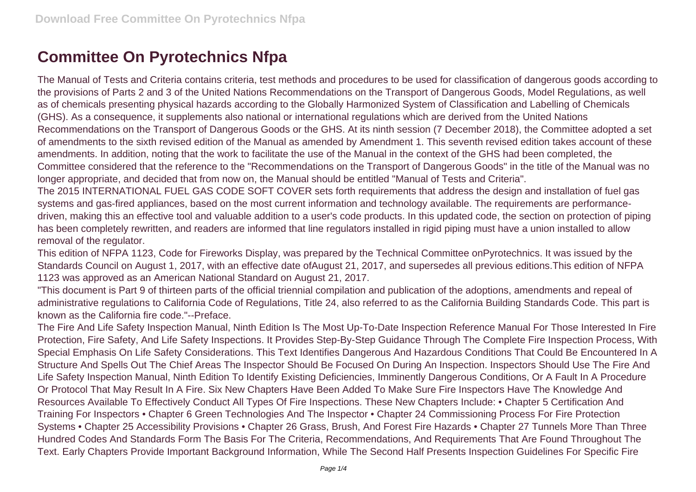## **Committee On Pyrotechnics Nfpa**

The Manual of Tests and Criteria contains criteria, test methods and procedures to be used for classification of dangerous goods according to the provisions of Parts 2 and 3 of the United Nations Recommendations on the Transport of Dangerous Goods, Model Regulations, as well as of chemicals presenting physical hazards according to the Globally Harmonized System of Classification and Labelling of Chemicals (GHS). As a consequence, it supplements also national or international regulations which are derived from the United Nations Recommendations on the Transport of Dangerous Goods or the GHS. At its ninth session (7 December 2018), the Committee adopted a set of amendments to the sixth revised edition of the Manual as amended by Amendment 1. This seventh revised edition takes account of these amendments. In addition, noting that the work to facilitate the use of the Manual in the context of the GHS had been completed, the Committee considered that the reference to the "Recommendations on the Transport of Dangerous Goods" in the title of the Manual was no longer appropriate, and decided that from now on, the Manual should be entitled "Manual of Tests and Criteria".

The 2015 INTERNATIONAL FUEL GAS CODE SOFT COVER sets forth requirements that address the design and installation of fuel gas systems and gas-fired appliances, based on the most current information and technology available. The requirements are performancedriven, making this an effective tool and valuable addition to a user's code products. In this updated code, the section on protection of piping has been completely rewritten, and readers are informed that line regulators installed in rigid piping must have a union installed to allow removal of the regulator.

This edition of NFPA 1123, Code for Fireworks Display, was prepared by the Technical Committee onPyrotechnics. It was issued by the Standards Council on August 1, 2017, with an effective date ofAugust 21, 2017, and supersedes all previous editions.This edition of NFPA 1123 was approved as an American National Standard on August 21, 2017.

"This document is Part 9 of thirteen parts of the official triennial compilation and publication of the adoptions, amendments and repeal of administrative regulations to California Code of Regulations, Title 24, also referred to as the California Building Standards Code. This part is known as the California fire code."--Preface.

The Fire And Life Safety Inspection Manual, Ninth Edition Is The Most Up-To-Date Inspection Reference Manual For Those Interested In Fire Protection, Fire Safety, And Life Safety Inspections. It Provides Step-By-Step Guidance Through The Complete Fire Inspection Process, With Special Emphasis On Life Safety Considerations. This Text Identifies Dangerous And Hazardous Conditions That Could Be Encountered In A Structure And Spells Out The Chief Areas The Inspector Should Be Focused On During An Inspection. Inspectors Should Use The Fire And Life Safety Inspection Manual, Ninth Edition To Identify Existing Deficiencies, Imminently Dangerous Conditions, Or A Fault In A Procedure Or Protocol That May Result In A Fire. Six New Chapters Have Been Added To Make Sure Fire Inspectors Have The Knowledge And Resources Available To Effectively Conduct All Types Of Fire Inspections. These New Chapters Include: • Chapter 5 Certification And Training For Inspectors • Chapter 6 Green Technologies And The Inspector • Chapter 24 Commissioning Process For Fire Protection Systems • Chapter 25 Accessibility Provisions • Chapter 26 Grass, Brush, And Forest Fire Hazards • Chapter 27 Tunnels More Than Three Hundred Codes And Standards Form The Basis For The Criteria, Recommendations, And Requirements That Are Found Throughout The Text. Early Chapters Provide Important Background Information, While The Second Half Presents Inspection Guidelines For Specific Fire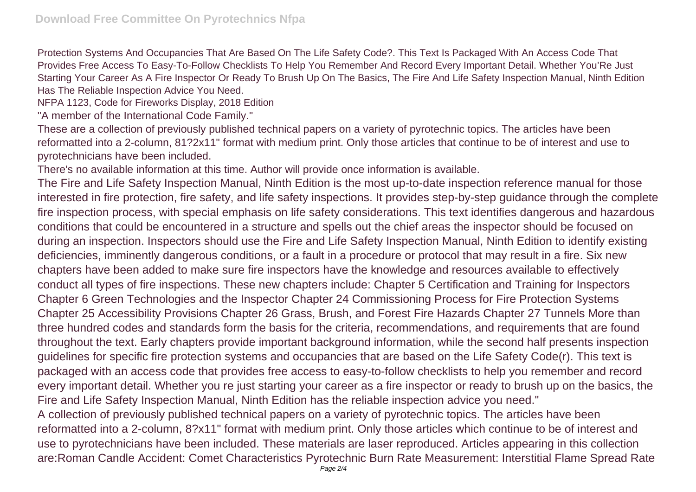Protection Systems And Occupancies That Are Based On The Life Safety Code?. This Text Is Packaged With An Access Code That Provides Free Access To Easy-To-Follow Checklists To Help You Remember And Record Every Important Detail. Whether You'Re Just Starting Your Career As A Fire Inspector Or Ready To Brush Up On The Basics, The Fire And Life Safety Inspection Manual, Ninth Edition Has The Reliable Inspection Advice You Need.

NFPA 1123, Code for Fireworks Display, 2018 Edition

"A member of the International Code Family."

These are a collection of previously published technical papers on a variety of pyrotechnic topics. The articles have been reformatted into a 2-column, 81?2x11" format with medium print. Only those articles that continue to be of interest and use to pyrotechnicians have been included.

There's no available information at this time. Author will provide once information is available.

The Fire and Life Safety Inspection Manual, Ninth Edition is the most up-to-date inspection reference manual for those interested in fire protection, fire safety, and life safety inspections. It provides step-by-step guidance through the complete fire inspection process, with special emphasis on life safety considerations. This text identifies dangerous and hazardous conditions that could be encountered in a structure and spells out the chief areas the inspector should be focused on during an inspection. Inspectors should use the Fire and Life Safety Inspection Manual, Ninth Edition to identify existing deficiencies, imminently dangerous conditions, or a fault in a procedure or protocol that may result in a fire. Six new chapters have been added to make sure fire inspectors have the knowledge and resources available to effectively conduct all types of fire inspections. These new chapters include: Chapter 5 Certification and Training for Inspectors Chapter 6 Green Technologies and the Inspector Chapter 24 Commissioning Process for Fire Protection Systems Chapter 25 Accessibility Provisions Chapter 26 Grass, Brush, and Forest Fire Hazards Chapter 27 Tunnels More than three hundred codes and standards form the basis for the criteria, recommendations, and requirements that are found throughout the text. Early chapters provide important background information, while the second half presents inspection guidelines for specific fire protection systems and occupancies that are based on the Life Safety Code(r). This text is packaged with an access code that provides free access to easy-to-follow checklists to help you remember and record every important detail. Whether you re just starting your career as a fire inspector or ready to brush up on the basics, the Fire and Life Safety Inspection Manual, Ninth Edition has the reliable inspection advice you need." A collection of previously published technical papers on a variety of pyrotechnic topics. The articles have been reformatted into a 2-column, 8?x11" format with medium print. Only those articles which continue to be of interest and use to pyrotechnicians have been included. These materials are laser reproduced. Articles appearing in this collection

are:Roman Candle Accident: Comet Characteristics Pyrotechnic Burn Rate Measurement: Interstitial Flame Spread Rate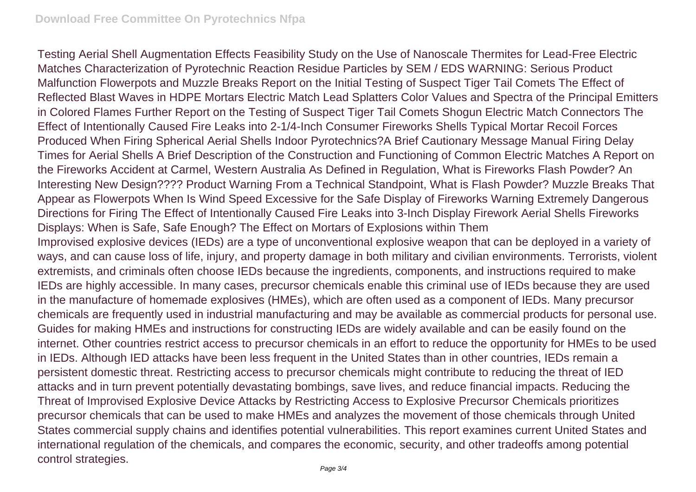Testing Aerial Shell Augmentation Effects Feasibility Study on the Use of Nanoscale Thermites for Lead-Free Electric Matches Characterization of Pyrotechnic Reaction Residue Particles by SEM / EDS WARNING: Serious Product Malfunction Flowerpots and Muzzle Breaks Report on the Initial Testing of Suspect Tiger Tail Comets The Effect of Reflected Blast Waves in HDPE Mortars Electric Match Lead Splatters Color Values and Spectra of the Principal Emitters in Colored Flames Further Report on the Testing of Suspect Tiger Tail Comets Shogun Electric Match Connectors The Effect of Intentionally Caused Fire Leaks into 2-1/4-Inch Consumer Fireworks Shells Typical Mortar Recoil Forces Produced When Firing Spherical Aerial Shells Indoor Pyrotechnics?A Brief Cautionary Message Manual Firing Delay Times for Aerial Shells A Brief Description of the Construction and Functioning of Common Electric Matches A Report on the Fireworks Accident at Carmel, Western Australia As Defined in Regulation, What is Fireworks Flash Powder? An Interesting New Design???? Product Warning From a Technical Standpoint, What is Flash Powder? Muzzle Breaks That Appear as Flowerpots When Is Wind Speed Excessive for the Safe Display of Fireworks Warning Extremely Dangerous Directions for Firing The Effect of Intentionally Caused Fire Leaks into 3-Inch Display Firework Aerial Shells Fireworks Displays: When is Safe, Safe Enough? The Effect on Mortars of Explosions within Them Improvised explosive devices (IEDs) are a type of unconventional explosive weapon that can be deployed in a variety of ways, and can cause loss of life, injury, and property damage in both military and civilian environments. Terrorists, violent extremists, and criminals often choose IEDs because the ingredients, components, and instructions required to make IEDs are highly accessible. In many cases, precursor chemicals enable this criminal use of IEDs because they are used in the manufacture of homemade explosives (HMEs), which are often used as a component of IEDs. Many precursor chemicals are frequently used in industrial manufacturing and may be available as commercial products for personal use. Guides for making HMEs and instructions for constructing IEDs are widely available and can be easily found on the internet. Other countries restrict access to precursor chemicals in an effort to reduce the opportunity for HMEs to be used in IEDs. Although IED attacks have been less frequent in the United States than in other countries, IEDs remain a persistent domestic threat. Restricting access to precursor chemicals might contribute to reducing the threat of IED attacks and in turn prevent potentially devastating bombings, save lives, and reduce financial impacts. Reducing the Threat of Improvised Explosive Device Attacks by Restricting Access to Explosive Precursor Chemicals prioritizes precursor chemicals that can be used to make HMEs and analyzes the movement of those chemicals through United States commercial supply chains and identifies potential vulnerabilities. This report examines current United States and international regulation of the chemicals, and compares the economic, security, and other tradeoffs among potential control strategies.